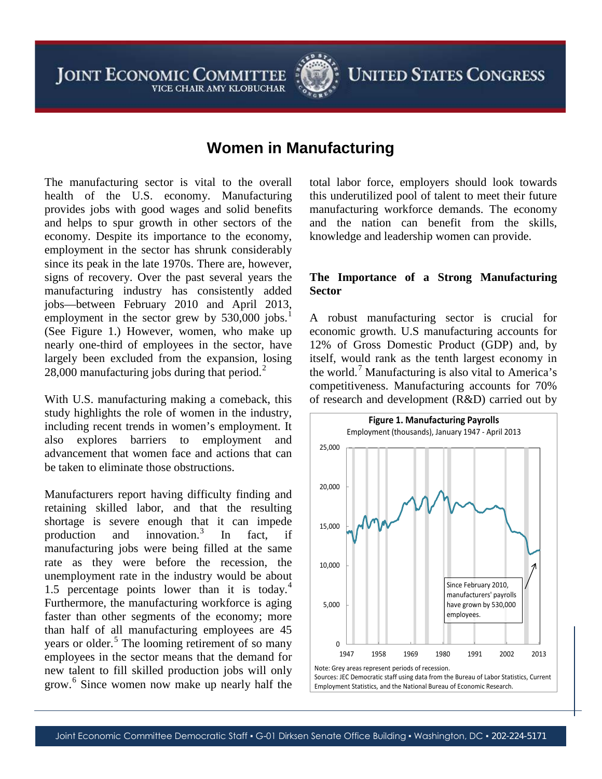**JOINT ECONOMIC COMMITTEE** VICE CHAIR AMY KLOBUCHAR



**UNITED STATES CONGRESS** 

# **Women in Manufacturing**

The manufacturing sector is vital to the overall health of the U.S. economy. Manufacturing provides jobs with good wages and solid benefits and helps to spur growth in other sectors of the economy. Despite its importance to the economy, employment in the sector has shrunk considerably since its peak in the late 1970s. There are, however, signs of recovery. Over the past several years the manufacturing industry has consistently added jobs—between February 2010 and April 2013, employment in the sector grew by  $530,000$  jobs.<sup>[1](#page-4-0)</sup> (See Figure 1.) However, women, who make up nearly one-third of employees in the sector, have largely been excluded from the expansion, losing [2](#page-4-1)8,000 manufacturing jobs during that period.<sup>2</sup>

With U.S. manufacturing making a comeback, this study highlights the role of women in the industry, including recent trends in women's employment. It also explores barriers to employment and advancement that women face and actions that can be taken to eliminate those obstructions.

Manufacturers report having difficulty finding and retaining skilled labor, and that the resulting shortage is severe enough that it can impede production and innovation.<sup>[3](#page-4-2)</sup> In fact, if manufacturing jobs were being filled at the same rate as they were before the recession, the unemployment rate in the industry would be about 1.5 percentage points lower than it is today. $4$ Furthermore, the manufacturing workforce is aging faster than other segments of the economy; more than half of all manufacturing employees are 45 years or older.<sup>[5](#page-4-4)</sup> The looming retirement of so many employees in the sector means that the demand for new talent to fill skilled production jobs will only grow.<sup>[6](#page-4-5)</sup> Since women now make up nearly half the total labor force, employers should look towards this underutilized pool of talent to meet their future manufacturing workforce demands. The economy and the nation can benefit from the skills, knowledge and leadership women can provide.

## **The Importance of a Strong Manufacturing Sector**

A robust manufacturing sector is crucial for economic growth. U.S manufacturing accounts for 12% of Gross Domestic Product (GDP) and, by itself, would rank as the tenth largest economy in the world.[7](#page-5-0) Manufacturing is also vital to America's competitiveness. Manufacturing accounts for 70% of research and development (R&D) carried out by

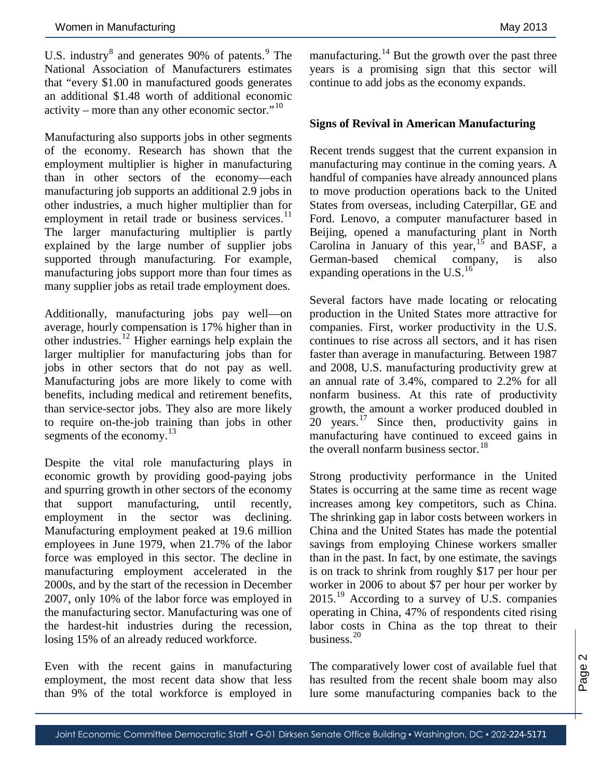U.S. industry $8$  and generates [9](#page-6-1)0% of patents. $9$  The National Association of Manufacturers estimates that "every \$1.00 in manufactured goods generates an additional \$1.48 worth of additional economic activity – more than any other economic sector." $10$ 

Manufacturing also supports jobs in other segments of the economy. Research has shown that the employment multiplier is higher in manufacturing than in other sectors of the economy—each manufacturing job supports an additional 2.9 jobs in other industries, a much higher multiplier than for employment in retail trade or business services.<sup>[11](#page-6-3)</sup> The larger manufacturing multiplier is partly explained by the large number of supplier jobs supported through manufacturing. For example, manufacturing jobs support more than four times as many supplier jobs as retail trade employment does.

Additionally, manufacturing jobs pay well—on average, hourly compensation is 17% higher than in other industries.<sup>[12](#page-6-4)</sup> Higher earnings help explain the larger multiplier for manufacturing jobs than for jobs in other sectors that do not pay as well. Manufacturing jobs are more likely to come with benefits, including medical and retirement benefits, than service-sector jobs. They also are more likely to require on-the-job training than jobs in other segments of the economy. $13$ 

Despite the vital role manufacturing plays in economic growth by providing good-paying jobs and spurring growth in other sectors of the economy that support manufacturing, until recently, employment in the sector was declining. Manufacturing employment peaked at 19.6 million employees in June 1979, when 21.7% of the labor force was employed in this sector. The decline in manufacturing employment accelerated in the 2000s, and by the start of the recession in December 2007, only 10% of the labor force was employed in the manufacturing sector. Manufacturing was one of the hardest-hit industries during the recession, losing 15% of an already reduced workforce.

Even with the recent gains in manufacturing employment, the most recent data show that less than 9% of the total workforce is employed in

manufacturing.<sup>[14](#page-6-6)</sup> But the growth over the past three years is a promising sign that this sector will continue to add jobs as the economy expands.

### **Signs of Revival in American Manufacturing**

Recent trends suggest that the current expansion in manufacturing may continue in the coming years. A handful of companies have already announced plans to move production operations back to the United States from overseas, including Caterpillar, GE and Ford. Lenovo, a computer manufacturer based in Beijing, opened a manufacturing plant in North Carolina in January of this year,  $15$  and BASF, a German-based chemical company, is also expanding operations in the U.S. $^{16}$  $^{16}$  $^{16}$ 

Several factors have made locating or relocating production in the United States more attractive for companies. First, worker productivity in the U.S. continues to rise across all sectors, and it has risen faster than average in manufacturing. Between 1987 and 2008, U.S. manufacturing productivity grew at an annual rate of 3.4%, compared to 2.2% for all nonfarm business. At this rate of productivity growth, the amount a worker produced doubled in  $20$  years.<sup>[17](#page-6-9)</sup> Since then, productivity gains in manufacturing have continued to exceed gains in the overall nonfarm business sector.<sup>[18](#page-6-10)</sup>

Strong productivity performance in the United States is occurring at the same time as recent wage increases among key competitors, such as China. The shrinking gap in labor costs between workers in China and the United States has made the potential savings from employing Chinese workers smaller than in the past. In fact, by one estimate, the savings is on track to shrink from roughly \$17 per hour per worker in 2006 to about \$7 per hour per worker by 2015.[19](#page-6-11) According to a survey of U.S. companies operating in China, 47% of respondents cited rising labor costs in China as the top threat to their business. $20$ 

The comparatively lower cost of available fuel that has resulted from the recent shale boom may also lure some manufacturing companies back to the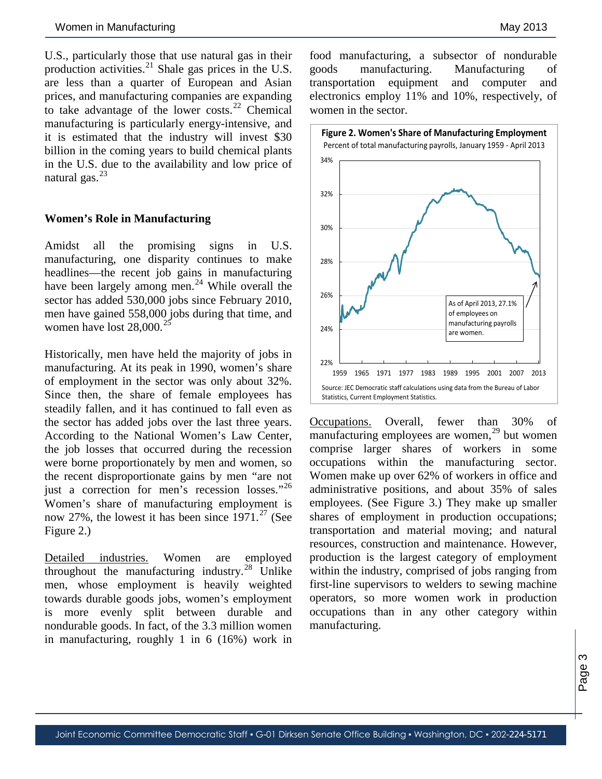U.S., particularly those that use natural gas in their production activities.<sup>[21](#page-6-13)</sup> Shale gas prices in the U.S. are less than a quarter of European and Asian prices, and manufacturing companies are expanding to take advantage of the lower costs.[22](#page-6-14) Chemical manufacturing is particularly energy-intensive, and it is estimated that the industry will invest \$30 billion in the coming years to build chemical plants in the U.S. due to the availability and low price of natural gas. $^{23}$  $^{23}$  $^{23}$ 

### **Women's Role in Manufacturing**

Amidst all the promising signs in U.S. manufacturing, one disparity continues to make headlines—the recent job gains in manufacturing have been largely among men.<sup>[24](#page-6-16)</sup> While overall the sector has added 530,000 jobs since February 2010, men have gained 558,000 jobs during that time, and women have lost  $28,000$ .<sup>[25](#page-6-17)</sup>

Historically, men have held the majority of jobs in manufacturing. At its peak in 1990, women's share of employment in the sector was only about 32%. Since then, the share of female employees has steadily fallen, and it has continued to fall even as the sector has added jobs over the last three years. According to the National Women's Law Center, the job losses that occurred during the recession were borne proportionately by men and women, so the recent disproportionate gains by men "are not just a correction for men's recession losses."<sup>[26](#page-6-18)</sup> Women's share of manufacturing employment is now [27](#page-6-19)%, the lowest it has been since  $1971<sup>27</sup>$  (See Figure 2.)

Detailed industries. Women are employed throughout the manufacturing industry. $^{28}$  $^{28}$  $^{28}$  Unlike men, whose employment is heavily weighted towards durable goods jobs, women's employment is more evenly split between durable and nondurable goods. In fact, of the 3.3 million women in manufacturing, roughly 1 in 6 (16%) work in

food manufacturing, a subsector of nondurable goods manufacturing. Manufacturing of transportation equipment and computer and electronics employ 11% and 10%, respectively, of women in the sector.



Occupations. Overall, fewer than 30% of manufacturing employees are women, [29](#page-6-21) but women comprise larger shares of workers in some occupations within the manufacturing sector. Women make up over 62% of workers in office and administrative positions, and about 35% of sales employees. (See Figure 3.) They make up smaller shares of employment in production occupations; transportation and material moving; and natural resources, construction and maintenance. However, production is the largest category of employment within the industry, comprised of jobs ranging from first-line supervisors to welders to sewing machine operators, so more women work in production occupations than in any other category within manufacturing.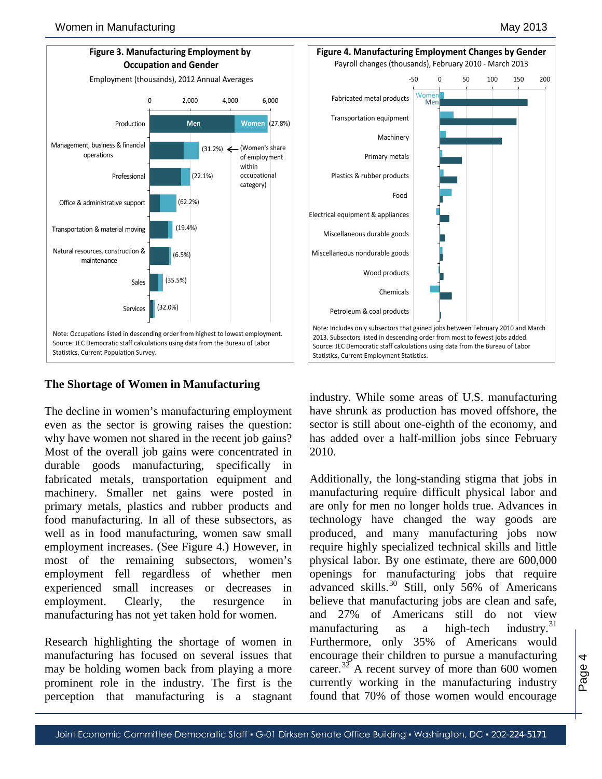

# **The Shortage of Women in Manufacturing**

The decline in women's manufacturing employment even as the sector is growing raises the question: why have women not shared in the recent job gains? Most of the overall job gains were concentrated in durable goods manufacturing, specifically in fabricated metals, transportation equipment and machinery. Smaller net gains were posted in primary metals, plastics and rubber products and food manufacturing. In all of these subsectors, as well as in food manufacturing, women saw small employment increases. (See Figure 4.) However, in most of the remaining subsectors, women's employment fell regardless of whether men experienced small increases or decreases in employment. Clearly, the resurgence in manufacturing has not yet taken hold for women.

Research highlighting the shortage of women in manufacturing has focused on several issues that may be holding women back from playing a more prominent role in the industry. The first is the perception that manufacturing is a stagnant

industry. While some areas of U.S. manufacturing have shrunk as production has moved offshore, the sector is still about one-eighth of the economy, and has added over a half-million jobs since February 2010.

Additionally, the long-standing stigma that jobs in manufacturing require difficult physical labor and are only for men no longer holds true. Advances in technology have changed the way goods are produced, and many manufacturing jobs now require highly specialized technical skills and little physical labor. By one estimate, there are 600,000 openings for manufacturing jobs that require advanced skills.<sup>[30](#page-6-22)</sup> Still, only 56% of Americans believe that manufacturing jobs are clean and safe, and 27% of Americans still do not view manufacturing as a high-tech industry. $31$ Furthermore, only 35% of Americans would encourage their children to pursue a manufacturing career.<sup>[32](#page-6-24)</sup> A recent survey of more than 600 women currently working in the manufacturing industry found that 70% of those women would encourage

-50 0 50 100 150 200

Payroll changes (thousands), February 2010 - March 2013

Wome Men

Fabricated metal products Transportation equipment

Plastics & rubber products

Machinery

Food

Primary metals

Wood products

Chemicals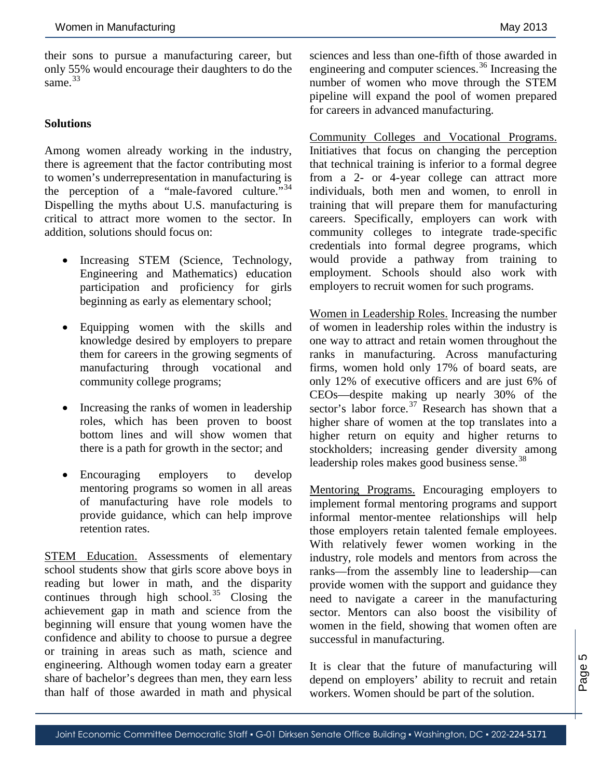<span id="page-4-0"></span>their sons to pursue a manufacturing career, but only 55% would encourage their daughters to do the same. [33](#page-6-25)

### <span id="page-4-2"></span><span id="page-4-1"></span>**Solutions**

<span id="page-4-3"></span>Among women already working in the industry, there is agreement that the factor contributing most to women's underrepresentation in manufacturing is the perception of a "male-favored culture."<sup>[34](#page-6-26)</sup> Dispelling the myths about U.S. manufacturing is critical to attract more women to the sector. In addition, solutions should focus on:

- Increasing STEM (Science, Technology, Engineering and Mathematics) education participation and proficiency for girls beginning as early as elementary school;
- <span id="page-4-5"></span><span id="page-4-4"></span>• Equipping women with the skills and knowledge desired by employers to prepare them for careers in the growing segments of manufacturing through vocational and community college programs;
- Increasing the ranks of women in leadership roles, which has been proven to boost bottom lines and will show women that there is a path for growth in the sector; and
- Encouraging employers to develop mentoring programs so women in all areas of manufacturing have role models to provide guidance, which can help improve retention rates.

STEM Education. Assessments of elementary school students show that girls score above boys in reading but lower in math, and the disparity continues through high school. $35$  Closing the achievement gap in math and science from the beginning will ensure that young women have the confidence and ability to choose to pursue a degree or training in areas such as math, science and engineering. Although women today earn a greater share of bachelor's degrees than men, they earn less than half of those awarded in math and physical

sciences and less than one-fifth of those awarded in engineering and computer sciences.<sup>[36](#page-6-28)</sup> Increasing the number of women who move through the STEM pipeline will expand the pool of women prepared for careers in advanced manufacturing.

Community Colleges and Vocational Programs. Initiatives that focus on changing the perception that technical training is inferior to a formal degree from a 2- or 4-year college can attract more individuals, both men and women, to enroll in training that will prepare them for manufacturing careers. Specifically, employers can work with community colleges to integrate trade-specific credentials into formal degree programs, which would provide a pathway from training to employment. Schools should also work with employers to recruit women for such programs.

Women in Leadership Roles. Increasing the number of women in leadership roles within the industry is one way to attract and retain women throughout the ranks in manufacturing. Across manufacturing firms, women hold only 17% of board seats, are only 12% of executive officers and are just 6% of CEOs—despite making up nearly 30% of the sector's labor force.<sup>[37](#page-6-16)</sup> Research has shown that a higher share of women at the top translates into a higher return on equity and higher returns to stockholders; increasing gender diversity among leadership roles makes good business sense.<sup>[38](#page-6-17)</sup>

Mentoring Programs. Encouraging employers to implement formal mentoring programs and support informal mentor-mentee relationships will help those employers retain talented female employees. With relatively fewer women working in the industry, role models and mentors from across the ranks—from the assembly line to leadership—can provide women with the support and guidance they need to navigate a career in the manufacturing sector. Mentors can also boost the visibility of women in the field, showing that women often are successful in manufacturing.

It is clear that the future of manufacturing will depend on employers' ability to recruit and retain workers. Women should be part of the solution.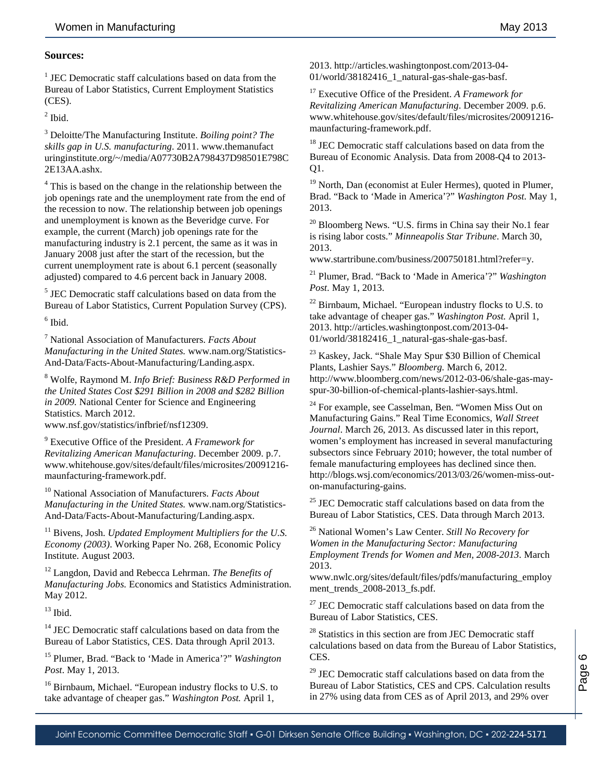### **Sources:**

<sup>1</sup> JEC Democratic staff calculations based on data from the Bureau of Labor Statistics, Current Employment Statistics (CES).

 $<sup>2</sup>$  Ibid.</sup>

<sup>3</sup> Deloitte/The Manufacturing Institute. *Boiling point? The skills gap in U.S. manufacturing*. 2011. www.themanufact uringinstitute.org/~/media/A07730B2A798437D98501E798C 2E13AA.ashx.

<sup>4</sup> This is based on the change in the relationship between the job openings rate and the unemployment rate from the end of the recession to now. The relationship between job openings and unemployment is known as the Beveridge curve. For example, the current (March) job openings rate for the manufacturing industry is 2.1 percent, the same as it was in January 2008 just after the start of the recession, but the current unemployment rate is about 6.1 percent (seasonally adjusted) compared to 4.6 percent back in January 2008.

<sup>5</sup> JEC Democratic staff calculations based on data from the Bureau of Labor Statistics, Current Population Survey (CPS).

 $^6$  Ibid.

<span id="page-5-0"></span><sup>7</sup> National Association of Manufacturers. *Facts About Manufacturing in the United States.* www.nam.org/Statistics-And-Data/Facts-About-Manufacturing/Landing.aspx.

<sup>8</sup> Wolfe, Raymond M. *Info Brief: Business R&D Performed in the United States Cost \$291 Billion in 2008 and \$282 Billion in 2009.* National Center for Science and Engineering Statistics. March 2012. www.nsf.gov/statistics/infbrief/nsf12309.

<sup>9</sup> Executive Office of the President. *A Framework for Revitalizing American Manufacturing*. December 2009. p.7. www.whitehouse.gov/sites/default/files/microsites/20091216 maunfacturing-framework.pdf.

<sup>10</sup> National Association of Manufacturers. *Facts About Manufacturing in the United States.* www.nam.org/Statistics-And-Data/Facts-About-Manufacturing/Landing.aspx.

<sup>11</sup> Bivens, Josh. *Updated Employment Multipliers for the U.S. Economy (2003)*. Working Paper No. 268, Economic Policy Institute. August 2003.

<sup>12</sup> Langdon, David and Rebecca Lehrman. *The Benefits of Manufacturing Jobs.* Economics and Statistics Administration. May 2012.

 $13$  Ibid.

<sup>14</sup> JEC Democratic staff calculations based on data from the Bureau of Labor Statistics, CES. Data through April 2013.

<sup>15</sup> Plumer, Brad. "Back to 'Made in America'?" *Washington Post*. May 1, 2013.

<sup>16</sup> Birnbaum, Michael. "European industry flocks to U.S. to take advantage of cheaper gas." *Washington Post.* April 1,

2013. http://articles.washingtonpost.com/2013-04- 01/world/38182416\_1\_natural-gas-shale-gas-basf.

<sup>17</sup> Executive Office of the President. *A Framework for Revitalizing American Manufacturing*. December 2009. p.6. www.whitehouse.gov/sites/default/files/microsites/20091216 maunfacturing-framework.pdf.

<sup>18</sup> JEC Democratic staff calculations based on data from the Bureau of Economic Analysis. Data from 2008-Q4 to 2013- Q1.

<sup>19</sup> North, Dan (economist at Euler Hermes), quoted in Plumer, Brad. "Back to 'Made in America'?" *Washington Post*. May 1, 2013.

<sup>20</sup> Bloomberg News. "U.S. firms in China say their No.1 fear is rising labor costs." *Minneapolis Star Tribune*. March 30, 2013.

www.startribune.com/business/200750181.html?refer=y.

<sup>21</sup> Plumer, Brad. "Back to 'Made in America'?" *Washington Post*. May 1, 2013.

 $22$  Birnbaum, Michael. "European industry flocks to U.S. to take advantage of cheaper gas." *Washington Post.* April 1, 2013. http://articles.washingtonpost.com/2013-04- 01/world/38182416\_1\_natural-gas-shale-gas-basf.

<sup>23</sup> Kaskey, Jack. "Shale May Spur \$30 Billion of Chemical Plants, Lashier Says." *Bloomberg.* March 6, 2012. http://www.bloomberg.com/news/2012-03-06/shale-gas-mayspur-30-billion-of-chemical-plants-lashier-says.html.

<sup>24</sup> For example, see Casselman, Ben. "Women Miss Out on Manufacturing Gains." Real Time Economics, *Wall Street Journal*. March 26, 2013. As discussed later in this report, women's employment has increased in several manufacturing subsectors since February 2010; however, the total number of female manufacturing employees has declined since then. http://blogs.wsj.com/economics/2013/03/26/women-miss-outon-manufacturing-gains.

<sup>25</sup> JEC Democratic staff calculations based on data from the Bureau of Labor Statistics, CES. Data through March 2013.

<sup>26</sup> National Women's Law Center. *Still No Recovery for Women in the Manufacturing Sector: Manufacturing Employment Trends for Women and Men, 2008-2013*. March 2013.

www.nwlc.org/sites/default/files/pdfs/manufacturing\_employ ment trends\_2008-2013\_fs.pdf.

 $27$  JEC Democratic staff calculations based on data from the Bureau of Labor Statistics, CES.

<sup>28</sup> Statistics in this section are from JEC Democratic staff calculations based on data from the Bureau of Labor Statistics, CES.

<sup>29</sup> JEC Democratic staff calculations based on data from the Bureau of Labor Statistics, CES and CPS. Calculation results in 27% using data from CES as of April 2013, and 29% over